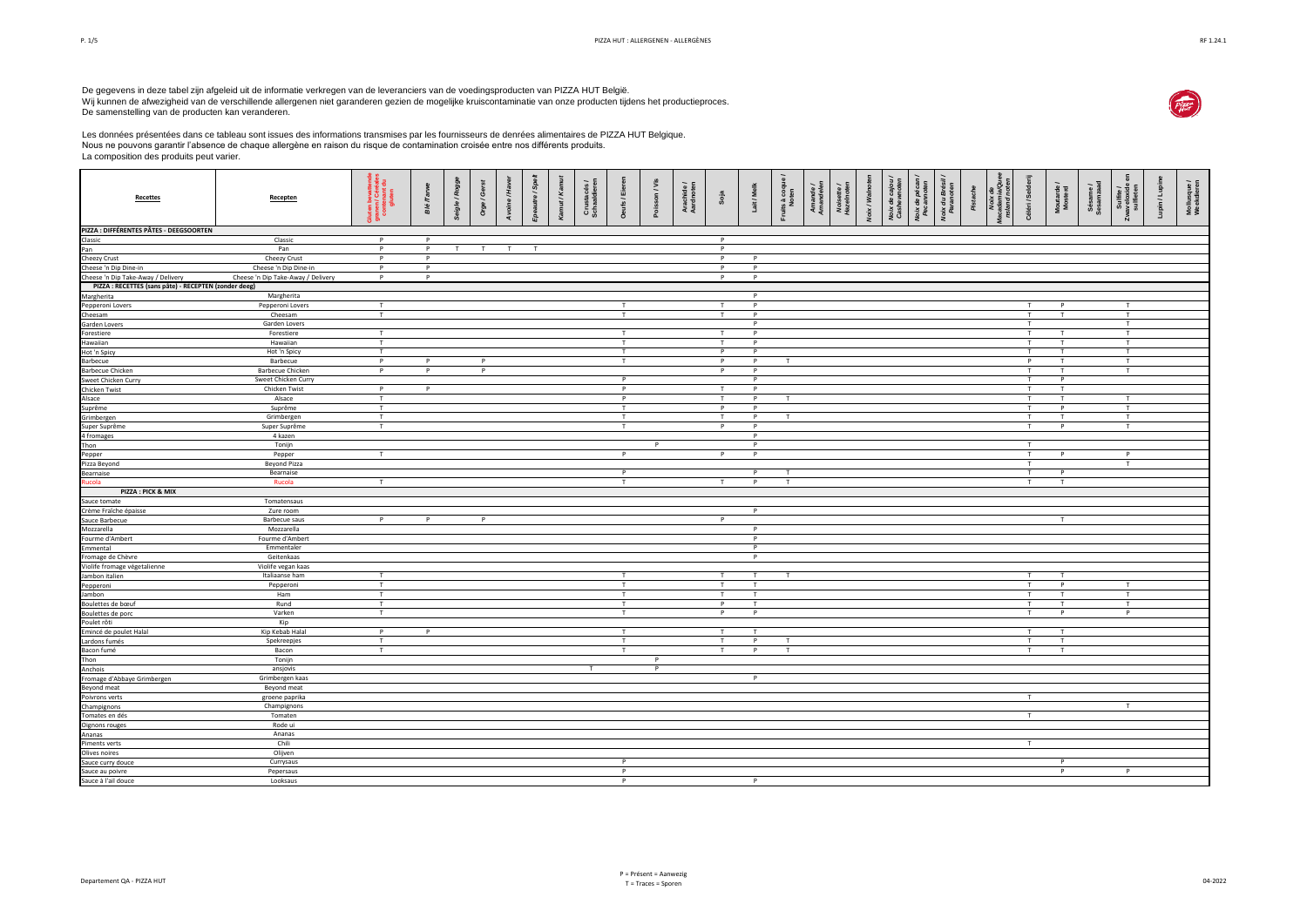De gegevens in deze tabel zijn afgeleid uit de informatie verkregen van de leveranciers van de voedingsproducten van PIZZA HUT België.<br>Wij kunnen de afwezigheid van de verschillende allergenen niet garanderen gezien de mog De samenstelling van de producten kan veranderen.





Les données présentées dans ce tableau sont issues des informations transmises par les fournisseurs de denrées alimentaires de PIZZA HUT Belgique. Nous ne pouvons garantir l'absence de chaque allergène en raison du risque de contamination croisée entre nos différents produits. La composition des produits peut varier.

| <b>Recettes</b>                                       | Recepten                             | luten bevatten<br>ranen / Céréale:<br>contenant du<br>«luten<br>病菌 | <b>Blé</b> /Tarwe | Seigle / Roggo | Orge / Gerst   | £, | autre / Spelt | Kamut/Kal | Crustacés /<br>Schaaldieren | aufs / Eier  | Poisson / Vis | Arachide /<br>Aardnoten | Soja         | Lait / Melk    | its à coqu<br>Noten | Aman<br>Aman | Noisette.<br>Hazelnote | Voix / Walno | Noix de cajou | Noix de pécar<br>Pecarnoten | Noix du Brésil<br>Paranoten | Pistache | and not |              | Moutarde /<br>Mosterd | Sésame /<br>Sesamzaac |                | -upin/Lupi | Mollusque/<br>Weekdieren |
|-------------------------------------------------------|--------------------------------------|--------------------------------------------------------------------|-------------------|----------------|----------------|----|---------------|-----------|-----------------------------|--------------|---------------|-------------------------|--------------|----------------|---------------------|--------------|------------------------|--------------|---------------|-----------------------------|-----------------------------|----------|---------|--------------|-----------------------|-----------------------|----------------|------------|--------------------------|
| PIZZA : DIFFÉRENTES PÂTES - DEEGSOORTEN               |                                      |                                                                    |                   |                |                |    |               |           |                             |              |               |                         |              |                |                     |              |                        |              |               |                             |                             |          |         |              |                       |                       |                |            |                          |
| Classic                                               | Classic                              | P                                                                  | P                 |                |                |    |               |           |                             |              |               |                         | P            |                |                     |              |                        |              |               |                             |                             |          |         |              |                       |                       |                |            |                          |
| Pan                                                   | Pan                                  | P                                                                  | P                 | T              | T              | T  | $\mathsf{T}$  |           |                             |              |               |                         | $\mathsf{P}$ |                |                     |              |                        |              |               |                             |                             |          |         |              |                       |                       |                |            |                          |
| Cheezy Crust                                          | Cheezy Crust                         | P                                                                  | P                 |                |                |    |               |           |                             |              |               |                         | P            | P              |                     |              |                        |              |               |                             |                             |          |         |              |                       |                       |                |            |                          |
| Cheese 'n Dip Dine-in                                 | Cheese 'n Dip Dine-in                | P                                                                  | P                 |                |                |    |               |           |                             |              |               |                         | P            | P              |                     |              |                        |              |               |                             |                             |          |         |              |                       |                       |                |            |                          |
| Cheese 'n Dip Take-Away / Delivery                    | Cheese 'n Dip Take-Away / Delivery   | P                                                                  | P                 |                |                |    |               |           |                             |              |               |                         | P            | P              |                     |              |                        |              |               |                             |                             |          |         |              |                       |                       |                |            |                          |
| PIZZA : RECETTES (sans pâte) - RECEPTEN (zonder deeg) |                                      |                                                                    |                   |                |                |    |               |           |                             |              |               |                         |              | P              |                     |              |                        |              |               |                             |                             |          |         |              |                       |                       |                |            |                          |
| Margherita                                            | Margherita<br>Pepperoni Lovers       | T                                                                  |                   |                |                |    |               |           |                             | T            |               |                         | T            | P              |                     |              |                        |              |               |                             |                             |          |         | T            | P                     |                       | T              |            |                          |
| Pepperoni Lovers<br>Cheesam                           | Cheesam                              | T                                                                  |                   |                |                |    |               |           |                             | T            |               |                         | T            | P              |                     |              |                        |              |               |                             |                             |          |         | T            | T                     |                       | T              |            |                          |
| Garden Lovers                                         | Garden Lovers                        |                                                                    |                   |                |                |    |               |           |                             |              |               |                         |              | P              |                     |              |                        |              |               |                             |                             |          |         | T            |                       |                       | T              |            |                          |
| Forestiere                                            | Forestiere                           | T                                                                  |                   |                |                |    |               |           |                             | T            |               |                         | T            | P              |                     |              |                        |              |               |                             |                             |          |         | T            | T                     |                       | T              |            |                          |
| Hawaiian                                              | Hawaiian                             | T                                                                  |                   |                |                |    |               |           |                             | T            |               |                         |              | P              |                     |              |                        |              |               |                             |                             |          |         | T            | T                     |                       | T              |            |                          |
| Hot 'n Spicy                                          | Hot 'n Spicy                         | T                                                                  |                   |                |                |    |               |           |                             | T            |               |                         | $\mathsf{P}$ | P              |                     |              |                        |              |               |                             |                             |          |         | T            | T                     |                       | T              |            |                          |
| Barbecue                                              | Barbecue                             | P                                                                  | P                 |                | P              |    |               |           |                             | T            |               |                         | P            | P              | T                   |              |                        |              |               |                             |                             |          |         | P            | T                     |                       | T              |            |                          |
| <b>Barbecue Chicken</b>                               | <b>Barbecue Chicken</b>              | $\overline{P}$                                                     | $\overline{P}$    |                | $\overline{P}$ |    |               |           |                             |              |               |                         | P            | P              |                     |              |                        |              |               |                             |                             |          |         | T            | T                     |                       | $\overline{1}$ |            |                          |
| Sweet Chicken Curry                                   | Sweet Chicken Curry                  |                                                                    |                   |                |                |    |               |           |                             | P            |               |                         |              | P              |                     |              |                        |              |               |                             |                             |          |         | T            | P                     |                       |                |            |                          |
| Chicken Twist                                         | Chicken Twist                        | P                                                                  | P                 |                |                |    |               |           |                             | P            |               |                         | T            | P              |                     |              |                        |              |               |                             |                             |          |         | T            | T                     |                       |                |            |                          |
| Alsace                                                | Alsace                               | T                                                                  |                   |                |                |    |               |           |                             | P            |               |                         | T            | P              | T                   |              |                        |              |               |                             |                             |          |         | T            | T                     |                       | T              |            |                          |
| Suprême                                               | Suprême                              | T                                                                  |                   |                |                |    |               |           |                             | T            |               |                         | $\mathbf{p}$ | P              |                     |              |                        |              |               |                             |                             |          |         | T            | $\mathbf{p}$          |                       | T              |            |                          |
| Grimbergen                                            | Grimbergen                           | $\mathsf{T}$                                                       |                   |                |                |    |               |           |                             | T            |               |                         | T            | P              | T                   |              |                        |              |               |                             |                             |          |         | T            | T.                    |                       | T              |            |                          |
| Super Suprême                                         | Super Suprême                        | T                                                                  |                   |                |                |    |               |           |                             | T            |               |                         | P            | P<br>P         |                     |              |                        |              |               |                             |                             |          |         | T            | $\mathsf{P}$          |                       | T              |            |                          |
| 4 fromages<br>Thon                                    | 4 kazen<br>Tonijn                    |                                                                    |                   |                |                |    |               |           |                             |              | P             |                         |              | P              |                     |              |                        |              |               |                             |                             |          |         | T            |                       |                       |                |            |                          |
| Pepper                                                | Pepper                               | T                                                                  |                   |                |                |    |               |           |                             | $\mathsf{P}$ |               |                         | $\mathsf{P}$ | P              |                     |              |                        |              |               |                             |                             |          |         | T            | P                     |                       | P              |            |                          |
| Pizza Beyond                                          | <b>Beyond Pizza</b>                  |                                                                    |                   |                |                |    |               |           |                             |              |               |                         |              |                |                     |              |                        |              |               |                             |                             |          |         | T            |                       |                       | T              |            |                          |
| Bearnaise                                             | Bearnaise                            |                                                                    |                   |                |                |    |               |           |                             | $\mathsf{P}$ |               |                         |              | P              | T                   |              |                        |              |               |                             |                             |          |         | T            | $\mathbf{p}$          |                       |                |            |                          |
| ucola                                                 | Rucola                               | T                                                                  |                   |                |                |    |               |           |                             | T            |               |                         | T            | P              | T                   |              |                        |              |               |                             |                             |          |         | T            | T                     |                       |                |            |                          |
| PIZZA : PICK & MIX                                    |                                      |                                                                    |                   |                |                |    |               |           |                             |              |               |                         |              |                |                     |              |                        |              |               |                             |                             |          |         |              |                       |                       |                |            |                          |
| Sauce tomate                                          | Tomatensaus                          |                                                                    |                   |                |                |    |               |           |                             |              |               |                         |              |                |                     |              |                        |              |               |                             |                             |          |         |              |                       |                       |                |            |                          |
| Crème Fraîche épaisse                                 | Zure room                            |                                                                    |                   |                |                |    |               |           |                             |              |               |                         |              | P              |                     |              |                        |              |               |                             |                             |          |         |              |                       |                       |                |            |                          |
| Sauce Barbecue                                        | <b>Barbecue saus</b>                 | P                                                                  | P                 |                | P              |    |               |           |                             |              |               |                         | P            |                |                     |              |                        |              |               |                             |                             |          |         |              | T                     |                       |                |            |                          |
| Mozzarella                                            | Mozzarella                           |                                                                    |                   |                |                |    |               |           |                             |              |               |                         |              | P              |                     |              |                        |              |               |                             |                             |          |         |              |                       |                       |                |            |                          |
| Fourme d'Ambert                                       | Fourme d'Ambert                      |                                                                    |                   |                |                |    |               |           |                             |              |               |                         |              | P.             |                     |              |                        |              |               |                             |                             |          |         |              |                       |                       |                |            |                          |
| Emmental                                              | Emmentaler                           |                                                                    |                   |                |                |    |               |           |                             |              |               |                         |              | P              |                     |              |                        |              |               |                             |                             |          |         |              |                       |                       |                |            |                          |
| Fromage de Chèvre                                     | Geitenkaas                           |                                                                    |                   |                |                |    |               |           |                             |              |               |                         |              | P              |                     |              |                        |              |               |                             |                             |          |         |              |                       |                       |                |            |                          |
| Violife fromage végetalienne                          | Violife vegan kaas<br>Italiaanse ham | T.                                                                 |                   |                |                |    |               |           |                             | T            |               |                         | T            | T              | T                   |              |                        |              |               |                             |                             |          |         | T            | T                     |                       |                |            |                          |
| Jambon italien                                        | Pepperoni                            | T                                                                  |                   |                |                |    |               |           |                             | T            |               |                         | T            | T              |                     |              |                        |              |               |                             |                             |          |         | T            | P                     |                       | T              |            |                          |
| Pepperoni<br>Jambon                                   | Ham                                  | T                                                                  |                   |                |                |    |               |           |                             | T            |               |                         | T            | $\mathsf{T}$   |                     |              |                        |              |               |                             |                             |          |         | T            | T                     |                       | T              |            |                          |
| Boulettes de bœuf                                     | Rund                                 | T                                                                  |                   |                |                |    |               |           |                             | T            |               |                         | P            | T              |                     |              |                        |              |               |                             |                             |          |         | T            | T                     |                       | T              |            |                          |
| Boulettes de porc                                     | Varken                               | T                                                                  |                   |                |                |    |               |           |                             | T            |               |                         | P            | P              |                     |              |                        |              |               |                             |                             |          |         | T            | P                     |                       | P              |            |                          |
| Poulet rôti                                           | Kip                                  |                                                                    |                   |                |                |    |               |           |                             |              |               |                         |              |                |                     |              |                        |              |               |                             |                             |          |         |              |                       |                       |                |            |                          |
| Emincé de poulet Halal                                | Kip Kebab Halal                      | P                                                                  | P                 |                |                |    |               |           |                             | T            |               |                         | T            | T              |                     |              |                        |              |               |                             |                             |          |         | T            | T                     |                       |                |            |                          |
| Lardons fumés                                         | Spekreepjes                          | T                                                                  |                   |                |                |    |               |           |                             | T            |               |                         | T            | P              | T                   |              |                        |              |               |                             |                             |          |         | T            | T                     |                       |                |            |                          |
| Bacon fumé                                            | Bacon                                | T                                                                  |                   |                |                |    |               |           |                             | T            |               |                         | T            | P              | T.                  |              |                        |              |               |                             |                             |          |         | T            | T                     |                       |                |            |                          |
| Thon                                                  | Tonijn                               |                                                                    |                   |                |                |    |               |           |                             |              | P             |                         |              |                |                     |              |                        |              |               |                             |                             |          |         |              |                       |                       |                |            |                          |
| Anchois                                               | ansjovis                             |                                                                    |                   |                |                |    |               |           | T                           |              | P             |                         |              |                |                     |              |                        |              |               |                             |                             |          |         |              |                       |                       |                |            |                          |
| Fromage d'Abbaye Grimbergen                           | Grimbergen kaas                      |                                                                    |                   |                |                |    |               |           |                             |              |               |                         |              | $\overline{P}$ |                     |              |                        |              |               |                             |                             |          |         |              |                       |                       |                |            |                          |
| Beyond meat                                           | Beyond meat                          |                                                                    |                   |                |                |    |               |           |                             |              |               |                         |              |                |                     |              |                        |              |               |                             |                             |          |         |              |                       |                       |                |            |                          |
| Poivrons verts                                        | groene paprika                       |                                                                    |                   |                |                |    |               |           |                             |              |               |                         |              |                |                     |              |                        |              |               |                             |                             |          |         | T            |                       |                       |                |            |                          |
| Champignons                                           | Champignons                          |                                                                    |                   |                |                |    |               |           |                             |              |               |                         |              |                |                     |              |                        |              |               |                             |                             |          |         |              |                       |                       | T              |            |                          |
| Tomates en dés                                        | Tomaten<br>Rode ui                   |                                                                    |                   |                |                |    |               |           |                             |              |               |                         |              |                |                     |              |                        |              |               |                             |                             |          |         | T            |                       |                       |                |            |                          |
| Oignons rouges<br>Ananas                              | Ananas                               |                                                                    |                   |                |                |    |               |           |                             |              |               |                         |              |                |                     |              |                        |              |               |                             |                             |          |         |              |                       |                       |                |            |                          |
| Piments verts                                         | Chili                                |                                                                    |                   |                |                |    |               |           |                             |              |               |                         |              |                |                     |              |                        |              |               |                             |                             |          |         | $\mathsf{T}$ |                       |                       |                |            |                          |
| Olives noires                                         | Olijven                              |                                                                    |                   |                |                |    |               |           |                             |              |               |                         |              |                |                     |              |                        |              |               |                             |                             |          |         |              |                       |                       |                |            |                          |
| Sauce curry douce                                     | Currysaus                            |                                                                    |                   |                |                |    |               |           |                             | P            |               |                         |              |                |                     |              |                        |              |               |                             |                             |          |         |              | $\mathsf{P}$          |                       |                |            |                          |
| Sauce au poivre                                       | Pepersaus                            |                                                                    |                   |                |                |    |               |           |                             | P            |               |                         |              |                |                     |              |                        |              |               |                             |                             |          |         |              | P                     |                       | P              |            |                          |
| Sauce à l'ail douce                                   | Looksaus                             |                                                                    |                   |                |                |    |               |           |                             | $\mathbf{D}$ |               |                         |              | P              |                     |              |                        |              |               |                             |                             |          |         |              |                       |                       |                |            |                          |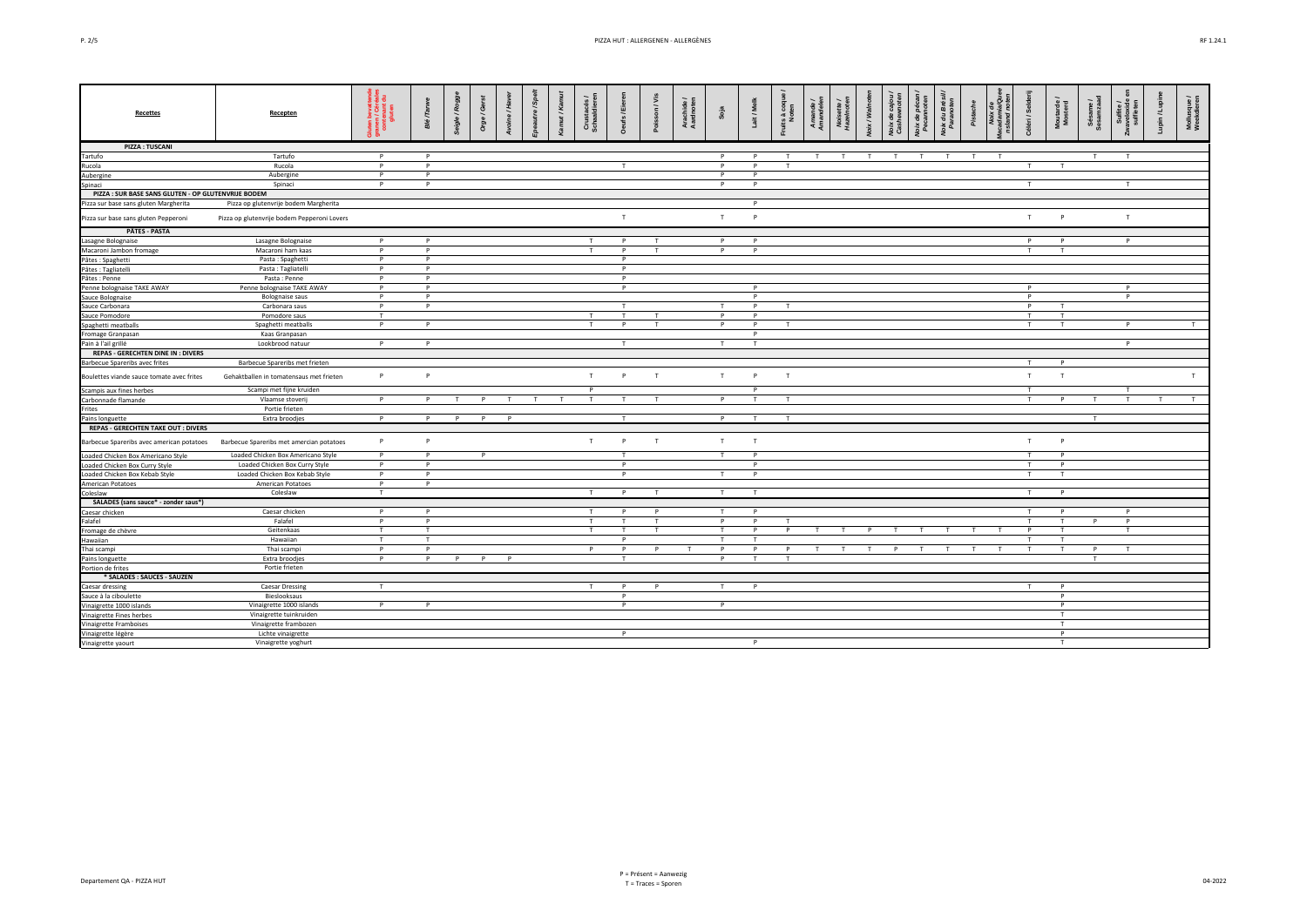| . . |  |
|-----|--|
|-----|--|

| <b>Recettes</b>                                     | Recepten                                    | 로 콤<br>ಿ ಕ     | $\pi$<br>alg | Roggi | $/$ Ger<br>å | $/$ Hay      | tre / Sp | Кa | <b>Cha</b>   | 읇 | n/Vis        | Arachide /<br>Aardnoten | Soja       | ait / Me       | its à coqu<br>Noten | e å<br>Noisette,<br>Hazelnote | oix / Walne | $\mathbf{e}$ | a<br>San     | loix du Brés<br>Paranoten | Pista |   | Céléri / Sel | Moutarde<br>Mosterd | Sésame /<br>iesamzaad | Sulfite<br>veloxid | in/Lupi | Mollusque /<br>Weekdieren |
|-----------------------------------------------------|---------------------------------------------|----------------|--------------|-------|--------------|--------------|----------|----|--------------|---|--------------|-------------------------|------------|----------------|---------------------|-------------------------------|-------------|--------------|--------------|---------------------------|-------|---|--------------|---------------------|-----------------------|--------------------|---------|---------------------------|
| <b>PIZZA: TUSCANI</b>                               |                                             |                |              |       |              |              |          |    |              |   |              |                         |            |                |                     |                               |             |              |              |                           |       |   |              |                     |                       |                    |         |                           |
| Tartufo                                             | Tartufo                                     | P              | P            |       |              |              |          |    |              |   |              |                         | P          | P              | T                   | T<br>T                        | T           | T            | T            | T                         | T     | T |              |                     | T                     | $\mathbf{r}$       |         |                           |
| Rucola                                              | Rucola                                      | P              | P            |       |              |              |          |    |              | T |              |                         | P          |                |                     |                               |             |              |              |                           |       |   |              |                     |                       |                    |         |                           |
| Aubergine                                           | Aubergine                                   | P              | P            |       |              |              |          |    |              |   |              |                         | P          | P              |                     |                               |             |              |              |                           |       |   |              |                     |                       |                    |         |                           |
| Spinaci                                             | Spinaci                                     | P              | P            |       |              |              |          |    |              |   |              |                         | P          | Þ              |                     |                               |             |              |              |                           |       |   | T            |                     |                       | T                  |         |                           |
| PIZZA : SUR BASE SANS GLUTEN - OP GLUTENVRIJE BODEM |                                             |                |              |       |              |              |          |    |              |   |              |                         |            |                |                     |                               |             |              |              |                           |       |   |              |                     |                       |                    |         |                           |
| Pizza sur base sans gluten Margherita               | Pizza op glutenvrije bodem Margherita       |                |              |       |              |              |          |    |              |   |              |                         |            | P              |                     |                               |             |              |              |                           |       |   |              |                     |                       |                    |         |                           |
| Pizza sur base sans gluten Pepperoni                | Pizza op glutenvrije bodem Pepperoni Lovers |                |              |       |              |              |          |    |              | T |              |                         | T.         | Þ              |                     |                               |             |              |              |                           |       |   | T            | p                   |                       | T                  |         |                           |
| <b>PÂTES - PASTA</b>                                |                                             |                |              |       |              |              |          |    |              |   |              |                         |            |                |                     |                               |             |              |              |                           |       |   |              |                     |                       |                    |         |                           |
| Lasagne Bolognaise                                  | Lasagne Bolognaise                          | P              | P            |       |              |              |          |    | T            | P |              |                         | P          | P              |                     |                               |             |              |              |                           |       |   | P.           | Þ                   |                       | P                  |         |                           |
| Macaroni Jambon fromage                             | Macaroni ham kaas                           | P              | P            |       |              |              |          |    | T            | P | т            |                         | P          | P              |                     |                               |             |              |              |                           |       |   | T            | T                   |                       |                    |         |                           |
| Pâtes : Spaghetti                                   | Pasta: Spaghetti                            | P              | P            |       |              |              |          |    |              | P |              |                         |            |                |                     |                               |             |              |              |                           |       |   |              |                     |                       |                    |         |                           |
| Pâtes : Tagliatelli                                 | Pasta: Tagliatelli                          | P.             | P            |       |              |              |          |    |              | P |              |                         |            |                |                     |                               |             |              |              |                           |       |   |              |                     |                       |                    |         |                           |
| Pâtes : Penne                                       | Pasta: Penne                                | P              | P            |       |              |              |          |    |              | P |              |                         |            |                |                     |                               |             |              |              |                           |       |   |              |                     |                       |                    |         |                           |
| Penne bolognaise TAKE AWAY                          | Penne bolognaise TAKE AWAY                  | P              | P            |       |              |              |          |    |              | P |              |                         |            | P              |                     |                               |             |              |              |                           |       |   | P            |                     |                       | P                  |         |                           |
| Sauce Bolognaise                                    | <b>Bolognaise saus</b>                      | P              | P            |       |              |              |          |    |              |   |              |                         |            | P              |                     |                               |             |              |              |                           |       |   | P            |                     |                       | P                  |         |                           |
| Sauce Carbonara                                     | Carbonara saus                              | P              | P            |       |              |              |          |    |              | T |              |                         | $^{\rm T}$ | P              |                     |                               |             |              |              |                           |       |   | P            |                     |                       |                    |         |                           |
| Sauce Pomodore                                      | Pomodore saus                               | T              |              |       |              |              |          |    | T            | T | T            |                         | P          | P              |                     |                               |             |              |              |                           |       |   | $\mathbf{r}$ | T                   |                       |                    |         |                           |
| Spaghetti meatballs                                 | Spaghetti meatballs                         | P              | P            |       |              |              |          |    |              | P |              |                         | P          | P              | T                   |                               |             |              |              |                           |       |   | T.           | T                   |                       | p                  |         | $\mathsf{T}$              |
| Fromage Granpasan                                   | Kaas Granpasan                              |                |              |       |              |              |          |    |              |   |              |                         |            | $\mathsf{P}$   |                     |                               |             |              |              |                           |       |   |              |                     |                       |                    |         |                           |
| Pain à l'ail grillé                                 | Lookbrood natuur                            | P              | P            |       |              |              |          |    |              | T |              |                         | T          | T              |                     |                               |             |              |              |                           |       |   |              |                     |                       | P                  |         |                           |
| <b>REPAS - GERECHTEN DINE IN : DIVERS</b>           |                                             |                |              |       |              |              |          |    |              |   |              |                         |            |                |                     |                               |             |              |              |                           |       |   |              |                     |                       |                    |         |                           |
| Barbecue Spareribs avec frites                      | Barbecue Spareribs met frieten              |                |              |       |              |              |          |    |              |   |              |                         |            |                |                     |                               |             |              |              |                           |       |   | T.           | p                   |                       |                    |         |                           |
| Boulettes viande sauce tomate avec frites           | Gehaktballen in tomatensaus met frieten     | P              | P            |       |              |              |          |    | T            | P | T            |                         | T          | P              | T                   |                               |             |              |              |                           |       |   | T            | T                   |                       |                    |         | T                         |
| Scampis aux fines herbes                            | Scampi met fijne kruiden                    |                |              |       |              |              |          |    |              |   |              |                         |            | P              |                     |                               |             |              |              |                           |       |   | T            |                     |                       | T                  |         |                           |
| Carbonnade flamande                                 | Vlaamse stoveri                             | P              | P            | т     |              |              |          |    |              | т |              |                         | P          |                |                     |                               |             |              |              |                           |       |   |              | P                   | л                     |                    | T       | T                         |
| Frites                                              | Portie frieten                              |                |              |       |              |              |          |    |              |   |              |                         |            |                |                     |                               |             |              |              |                           |       |   |              |                     |                       |                    |         |                           |
| Pains longuette                                     | Extra broodjes                              | $\overline{P}$ | P            | P     | P            | $\mathsf{P}$ |          |    |              | T |              |                         | P          | $\mathbf \tau$ | $\mathbf \tau$      |                               |             |              |              |                           |       |   |              |                     | T                     |                    |         |                           |
| <b>REPAS - GERECHTEN TAKE OUT : DIVERS</b>          |                                             |                |              |       |              |              |          |    |              |   |              |                         |            |                |                     |                               |             |              |              |                           |       |   |              |                     |                       |                    |         |                           |
| Barbecue Spareribs avec american potatoes           | Barbecue Spareribs met amercian potatoes    | P              | P            |       |              |              |          |    | T            | P | T            |                         | T          | T              |                     |                               |             |              |              |                           |       |   | T            | p                   |                       |                    |         |                           |
| Loaded Chicken Box Americano Style                  | Loaded Chicken Box Americano Style          | P              | P            |       | P            |              |          |    |              | T |              |                         | T          | P              |                     |                               |             |              |              |                           |       |   | $\mathbf{r}$ | P                   |                       |                    |         |                           |
| Loaded Chicken Box Curry Style                      | Loaded Chicken Box Curry Style              | P              | P            |       |              |              |          |    |              | P |              |                         |            | P              |                     |                               |             |              |              |                           |       |   |              | P                   |                       |                    |         |                           |
| Loaded Chicken Box Kebab Style                      | Loaded Chicken Box Kebab Style              | P              | P            |       |              |              |          |    |              | P |              |                         | T          | P              |                     |                               |             |              |              |                           |       |   | T            | T                   |                       |                    |         |                           |
| American Potatoes                                   | American Potatoes                           | P              | P            |       |              |              |          |    |              |   |              |                         |            |                |                     |                               |             |              |              |                           |       |   |              |                     |                       |                    |         |                           |
| Coleslaw                                            | Coleslaw                                    | T              |              |       |              |              |          |    | T            | P | T            |                         | T          | T              |                     |                               |             |              |              |                           |       |   | T            | $\mathsf{p}$        |                       |                    |         |                           |
| SALADES (sans sauce* - zonder saus*)                |                                             |                |              |       |              |              |          |    |              |   |              |                         |            |                |                     |                               |             |              |              |                           |       |   |              |                     |                       |                    |         |                           |
| Caesar chicken                                      | Caesar chicken                              | P              | P            |       |              |              |          |    | T            | P | P            |                         | T          | P              |                     |                               |             |              |              |                           |       |   | T            | P                   |                       | P                  |         |                           |
| Falafel                                             | Falafel                                     | P              | P            |       |              |              |          |    |              | T | $\mathbf{T}$ |                         | P          | P              | T                   |                               |             |              |              |                           |       |   |              | T                   | P                     | P                  |         |                           |
|                                                     | Geitenkaas                                  | T              | T            |       |              |              |          |    | T            | T | T            |                         | T.         | P              | P                   | T                             | P           |              | $\mathbf{r}$ |                           | T     | T | P            | T                   |                       | T                  |         |                           |
| Fromage de chèvre                                   | Hawaiian                                    | T              | T            |       |              |              |          |    |              | P |              |                         | т          |                |                     |                               |             |              |              |                           |       |   | т            | T                   |                       |                    |         |                           |
| Hawaiian                                            | Thai scampi                                 | P              | P            |       |              |              |          |    | $\mathsf{P}$ | P | P            | T                       | P          | P              | $\mathsf{P}$        | T                             | т           | P            | T            | T                         | T     | T | T            | T                   | P                     | T                  |         |                           |
| Thai scampi                                         |                                             |                |              |       |              |              |          |    |              | T |              |                         | P          | T              | T                   |                               |             |              |              |                           |       |   |              |                     | $\mathbf{r}$          |                    |         |                           |
| Pains longuette                                     | Extra broodjes                              | P              | P            | P     | P            | P            |          |    |              |   |              |                         |            |                |                     |                               |             |              |              |                           |       |   |              |                     |                       |                    |         |                           |
| Portion de frites                                   | Portie frieten                              |                |              |       |              |              |          |    |              |   |              |                         |            |                |                     |                               |             |              |              |                           |       |   |              |                     |                       |                    |         |                           |
| * SALADES : SAUCES - SAUZEN                         |                                             |                |              |       |              |              |          |    |              |   |              |                         |            |                |                     |                               |             |              |              |                           |       |   |              |                     |                       |                    |         |                           |
| Caesar dressing                                     | <b>Caesar Dressing</b>                      | T              |              |       |              |              |          |    | T            | P | P            |                         | T          | P              |                     |                               |             |              |              |                           |       |   | T            | P                   |                       |                    |         |                           |
| Sauce à la ciboulette                               | Bieslooksaus                                |                |              |       |              |              |          |    |              | P |              |                         |            |                |                     |                               |             |              |              |                           |       |   |              | P                   |                       |                    |         |                           |
| Vinaigrette 1000 islands                            | Vinaigrette 1000 islands                    | P              | P            |       |              |              |          |    |              | P |              |                         | P          |                |                     |                               |             |              |              |                           |       |   |              | P                   |                       |                    |         |                           |
| Vinaigrette Fines herbes                            | Vinaigrette tuinkruiden                     |                |              |       |              |              |          |    |              |   |              |                         |            |                |                     |                               |             |              |              |                           |       |   |              | T                   |                       |                    |         |                           |
| Vinaigrette Framboises                              | Vinaigrette frambozen                       |                |              |       |              |              |          |    |              |   |              |                         |            |                |                     |                               |             |              |              |                           |       |   |              | T                   |                       |                    |         |                           |
| Vinaigrette légère                                  | Lichte vinaigrette                          |                |              |       |              |              |          |    |              | P |              |                         |            |                |                     |                               |             |              |              |                           |       |   |              | P                   |                       |                    |         |                           |
| Vinaigrette yaourt                                  | Vinaigrette yoghurt                         |                |              |       |              |              |          |    |              |   |              |                         |            | P              |                     |                               |             |              |              |                           |       |   |              | T                   |                       |                    |         |                           |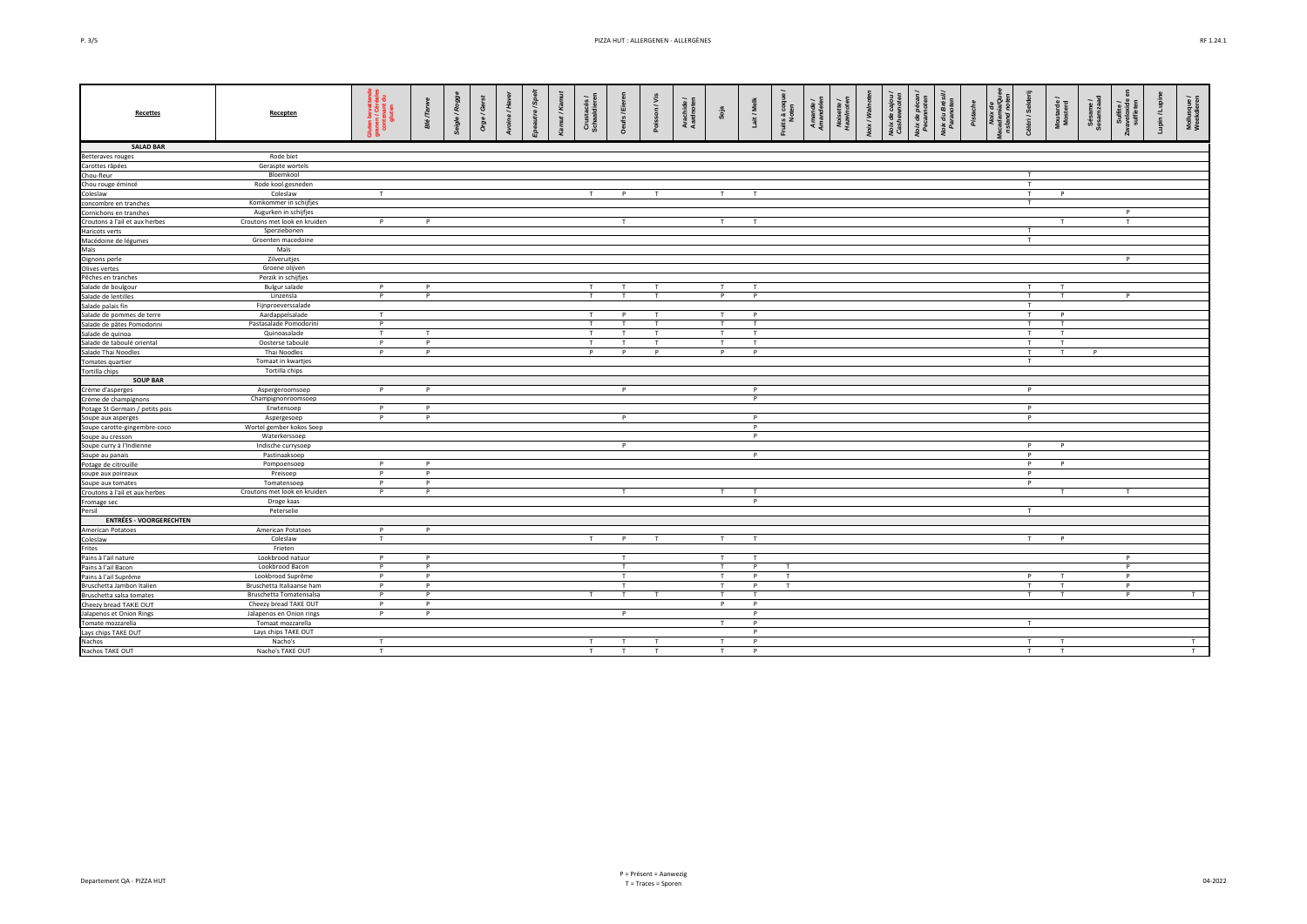| ç<br>. . |
|----------|
|          |

| <b>Recettes</b>                 | Recepten                     | a<br>V Šē<br>anas | $T$ arw $\epsilon$<br>Жě | igle/Rogg | Gers<br>ò | £, | utre / Spe | /Kam | Crustacés<br>schaaldiere | ufs / Eier     | son / Vis    | Arachide /<br>Aardnoten | Soja           | Lait / Melk    | its à coqu<br>Noten |  | xix / Walno | Noix de cajou<br>Cashewnoten | Voix de péc<br>Pecamot | oix du Brés<br>Parancie | Pistache | land no: | iri / Sel    | Moutarde /<br>Mosterd | Sésame /<br>Sesanxaad | Sulfite /<br>weloxide | oin/Lupi | Mollusque /<br>Weekdieren |
|---------------------------------|------------------------------|-------------------|--------------------------|-----------|-----------|----|------------|------|--------------------------|----------------|--------------|-------------------------|----------------|----------------|---------------------|--|-------------|------------------------------|------------------------|-------------------------|----------|----------|--------------|-----------------------|-----------------------|-----------------------|----------|---------------------------|
| <b>SALAD BAR</b>                |                              |                   |                          |           |           |    |            |      |                          |                |              |                         |                |                |                     |  |             |                              |                        |                         |          |          |              |                       |                       |                       |          |                           |
| Betteraves rouges               | Rode biet                    |                   |                          |           |           |    |            |      |                          |                |              |                         |                |                |                     |  |             |                              |                        |                         |          |          |              |                       |                       |                       |          |                           |
| Carottes râpées                 | Geraspte wortels             |                   |                          |           |           |    |            |      |                          |                |              |                         |                |                |                     |  |             |                              |                        |                         |          |          |              |                       |                       |                       |          |                           |
| Chou-fleur                      | Bloemkool                    |                   |                          |           |           |    |            |      |                          |                |              |                         |                |                |                     |  |             |                              |                        |                         |          |          | T            |                       |                       |                       |          |                           |
| Chou rouge émincé               | Rode kool gesneden           |                   |                          |           |           |    |            |      |                          |                |              |                         |                |                |                     |  |             |                              |                        |                         |          |          | T            |                       |                       |                       |          |                           |
| Coleslaw                        | Coleslaw                     | T                 |                          |           |           |    |            |      | T                        | P              | т            |                         | T              | T              |                     |  |             |                              |                        |                         |          |          | T            | P                     |                       |                       |          |                           |
| concombre en tranches           | Komkommer in schijfjes       |                   |                          |           |           |    |            |      |                          |                |              |                         |                |                |                     |  |             |                              |                        |                         |          |          | т            |                       |                       |                       |          |                           |
| Cornichons en tranches          | Augurken in schijfjes        |                   |                          |           |           |    |            |      |                          |                |              |                         |                |                |                     |  |             |                              |                        |                         |          |          |              |                       |                       | P                     |          |                           |
| Croutons à l'ail et aux herbes  | Croutons met look en kruiden | P                 | P                        |           |           |    |            |      |                          | T              |              |                         | T              | T              |                     |  |             |                              |                        |                         |          |          |              | т                     |                       | T                     |          |                           |
| Haricots verts                  | Sperziebonen                 |                   |                          |           |           |    |            |      |                          |                |              |                         |                |                |                     |  |             |                              |                        |                         |          |          | T            |                       |                       |                       |          |                           |
| Macédoine de légumes            | Groenten macedoine           |                   |                          |           |           |    |            |      |                          |                |              |                         |                |                |                     |  |             |                              |                        |                         |          |          | T            |                       |                       |                       |          |                           |
| Maïs                            | Maïs                         |                   |                          |           |           |    |            |      |                          |                |              |                         |                |                |                     |  |             |                              |                        |                         |          |          |              |                       |                       |                       |          |                           |
| Oignons perle                   | Zilveruitjes                 |                   |                          |           |           |    |            |      |                          |                |              |                         |                |                |                     |  |             |                              |                        |                         |          |          |              |                       |                       | $\mathsf{P}$          |          |                           |
| Olives vertes                   | Groene olijven               |                   |                          |           |           |    |            |      |                          |                |              |                         |                |                |                     |  |             |                              |                        |                         |          |          |              |                       |                       |                       |          |                           |
| Pêches en tranches              | Perzik in schijfjes          |                   |                          |           |           |    |            |      |                          |                |              |                         |                |                |                     |  |             |                              |                        |                         |          |          |              |                       |                       |                       |          |                           |
| Salade de boulgour              | <b>Bulgur salade</b>         | P                 | P                        |           |           |    |            |      | $\mathsf{T}$             | T              | т.           |                         | T              | T.             |                     |  |             |                              |                        |                         |          |          | T.           | T                     |                       |                       |          |                           |
| Salade de lentilles             | Linzensla                    | $\overline{P}$    | Þ                        |           |           |    |            |      | T                        | T              | T            |                         | $\overline{P}$ | P              |                     |  |             |                              |                        |                         |          |          | T            | T                     |                       | P                     |          |                           |
| Salade palais fin               | Fijnproeverssalade           |                   |                          |           |           |    |            |      |                          |                |              |                         |                |                |                     |  |             |                              |                        |                         |          |          | T            |                       |                       |                       |          |                           |
| Salade de pommes de terre       | Aardappelsalade              | T                 |                          |           |           |    |            |      | T                        | P              | $\mathbf{r}$ |                         | T              | P              |                     |  |             |                              |                        |                         |          |          | T            | P                     |                       |                       |          |                           |
| Salade de pâtes Pomodorini      | Pastasalade Pomodorini       | P                 |                          |           |           |    |            |      | T                        |                |              |                         | T              |                |                     |  |             |                              |                        |                         |          |          | T            | T                     |                       |                       |          |                           |
| Salade de quinoa                | Quinoasalade                 | T                 | T                        |           |           |    |            |      | T                        | T              | T            |                         | T              | T              |                     |  |             |                              |                        |                         |          |          | T            | T                     |                       |                       |          |                           |
| Salade de taboulé oriental      | Oosterse taboulé             | $\overline{P}$    | P                        |           |           |    |            |      | $\mathsf{T}$             | T              | т.           |                         | T              | $\mathbf \tau$ |                     |  |             |                              |                        |                         |          |          | $\mathsf{T}$ | T                     |                       |                       |          |                           |
| Salade Thai Noodles             | Thai Noodles                 | P                 | p                        |           |           |    |            |      | P                        | P              | P            |                         | P              | P              |                     |  |             |                              |                        |                         |          |          | T            | T                     | P                     |                       |          |                           |
| Tomates quartier                | Tomaat in kwartjes           |                   |                          |           |           |    |            |      |                          |                |              |                         |                |                |                     |  |             |                              |                        |                         |          |          | T            |                       |                       |                       |          |                           |
| Tortilla chips                  | Tortilla chips               |                   |                          |           |           |    |            |      |                          |                |              |                         |                |                |                     |  |             |                              |                        |                         |          |          |              |                       |                       |                       |          |                           |
| <b>SOUP BAR</b>                 |                              |                   |                          |           |           |    |            |      |                          |                |              |                         |                |                |                     |  |             |                              |                        |                         |          |          |              |                       |                       |                       |          |                           |
| Crème d'asperges                | Aspergeroomsoep              | P                 | P                        |           |           |    |            |      |                          | $\overline{P}$ |              |                         |                | P              |                     |  |             |                              |                        |                         |          |          | P            |                       |                       |                       |          |                           |
| Crème de champignons            | Champignonroomsoep           |                   |                          |           |           |    |            |      |                          |                |              |                         |                | P              |                     |  |             |                              |                        |                         |          |          |              |                       |                       |                       |          |                           |
| Potage St Germain / petits pois | Erwtensoep                   | P                 | P                        |           |           |    |            |      |                          |                |              |                         |                |                |                     |  |             |                              |                        |                         |          |          | P            |                       |                       |                       |          |                           |
| Soupe aux asperges              | Aspergesoep                  | P                 | P                        |           |           |    |            |      |                          | P              |              |                         |                | P              |                     |  |             |                              |                        |                         |          |          | P            |                       |                       |                       |          |                           |
| Soupe carotte-gingembre-coco    | Wortel gember kokos Soep     |                   |                          |           |           |    |            |      |                          |                |              |                         |                | P              |                     |  |             |                              |                        |                         |          |          |              |                       |                       |                       |          |                           |
| Soupe au cresson                | Waterkerssoep                |                   |                          |           |           |    |            |      |                          |                |              |                         |                | P              |                     |  |             |                              |                        |                         |          |          |              |                       |                       |                       |          |                           |
| Soupe curry à l'Indienne        | Indische currysoep           |                   |                          |           |           |    |            |      |                          | P              |              |                         |                |                |                     |  |             |                              |                        |                         |          |          | P            | P                     |                       |                       |          |                           |
| Soupe au panais                 | Pastinaaksoep                |                   |                          |           |           |    |            |      |                          |                |              |                         |                | P              |                     |  |             |                              |                        |                         |          |          | P            |                       |                       |                       |          |                           |
| Potage de citrouille            | Pompoensoep                  | P                 | P                        |           |           |    |            |      |                          |                |              |                         |                |                |                     |  |             |                              |                        |                         |          |          | P            | P                     |                       |                       |          |                           |
| soupe aux poireaux              | Preisoep                     | P                 | p                        |           |           |    |            |      |                          |                |              |                         |                |                |                     |  |             |                              |                        |                         |          |          | P            |                       |                       |                       |          |                           |
| Soupe aux tomates               | Tomatensoep                  | P                 | P                        |           |           |    |            |      |                          |                |              |                         |                |                |                     |  |             |                              |                        |                         |          |          | P            |                       |                       |                       |          |                           |
| Croutons à l'ail et aux herbes  | Croutons met look en kruiden | P                 | P                        |           |           |    |            |      |                          | T              |              |                         | T              | T              |                     |  |             |                              |                        |                         |          |          |              | T                     |                       | T                     |          |                           |
| Fromage sec                     | Droge kaas                   |                   |                          |           |           |    |            |      |                          |                |              |                         |                | P              |                     |  |             |                              |                        |                         |          |          |              |                       |                       |                       |          |                           |
| Persil                          | Peterselie                   |                   |                          |           |           |    |            |      |                          |                |              |                         |                |                |                     |  |             |                              |                        |                         |          |          | Ŧ            |                       |                       |                       |          |                           |
| <b>ENTRÉES - VOORGERECHTEN</b>  |                              |                   |                          |           |           |    |            |      |                          |                |              |                         |                |                |                     |  |             |                              |                        |                         |          |          |              |                       |                       |                       |          |                           |
| American Potatoes               | American Potatoes            | P                 | Þ                        |           |           |    |            |      |                          |                |              |                         |                |                |                     |  |             |                              |                        |                         |          |          |              |                       |                       |                       |          |                           |
| Coleslaw                        | Coleslaw                     | T                 |                          |           |           |    |            |      | T                        | P              | T            |                         | T              | T              |                     |  |             |                              |                        |                         |          |          | T            | P                     |                       |                       |          |                           |
| Frites                          | Frieten                      |                   |                          |           |           |    |            |      |                          |                |              |                         |                |                |                     |  |             |                              |                        |                         |          |          |              |                       |                       |                       |          |                           |
| Pains à l'ail nature            | Lookbrood natuur             | P                 | P                        |           |           |    |            |      |                          | T              |              |                         | T              |                |                     |  |             |                              |                        |                         |          |          |              |                       |                       | P                     |          |                           |
| Pains à l'ail Bacon             | Lookbrood Bacon              | P                 | P                        |           |           |    |            |      |                          | T              |              |                         | T              | P              | T                   |  |             |                              |                        |                         |          |          |              |                       |                       | P                     |          |                           |
| Pains à l'ail Suprême           | Lookbrood Suprême            | P                 | P                        |           |           |    |            |      |                          | T              |              |                         | T              | P              | T                   |  |             |                              |                        |                         |          |          | P            |                       |                       | P                     |          |                           |
| Bruschetta Jambon Italien       | Bruschetta Italiaanse ham    | P                 | P                        |           |           |    |            |      |                          | T              |              |                         | T              | P              | T                   |  |             |                              |                        |                         |          |          | T            | T                     |                       | P                     |          |                           |
| Bruschetta salsa tomates        | Bruschetta Tomatensalsa      | P                 | Þ                        |           |           |    |            |      | T                        | T              | $\mathbf{r}$ |                         | T              | $\mathbf{r}$   |                     |  |             |                              |                        |                         |          |          | T            | T                     |                       | P                     |          | T                         |
| Cheezy bread TAKE OUT           | Cheezy bread TAKE OUT        | P                 | p                        |           |           |    |            |      |                          |                |              |                         | P              | P              |                     |  |             |                              |                        |                         |          |          |              |                       |                       |                       |          |                           |
| Jalapenos et Onion Rings        | Jalapenos en Onion rings     | P                 | P                        |           |           |    |            |      |                          | P              |              |                         |                | P              |                     |  |             |                              |                        |                         |          |          |              |                       |                       |                       |          |                           |
| Tomate mozzarella               | Tomaat mozzarella            |                   |                          |           |           |    |            |      |                          |                |              |                         | T              | P              |                     |  |             |                              |                        |                         |          |          | $\mathsf{T}$ |                       |                       |                       |          |                           |
| Lays chips TAKE OUT             | Lays chips TAKE OUT          |                   |                          |           |           |    |            |      |                          |                |              |                         |                | P              |                     |  |             |                              |                        |                         |          |          |              |                       |                       |                       |          |                           |
| Nachos                          | Nacho's                      | T                 |                          |           |           |    |            |      | T                        | T              |              |                         | T              | P              |                     |  |             |                              |                        |                         |          |          | T            |                       |                       |                       |          | T                         |
| Nachos TAKE OUT                 | Nacho's TAKE OUT             | T                 |                          |           |           |    |            |      | T                        | T              | T            |                         | T              | P              |                     |  |             |                              |                        |                         |          |          | T            | T                     |                       |                       |          | T                         |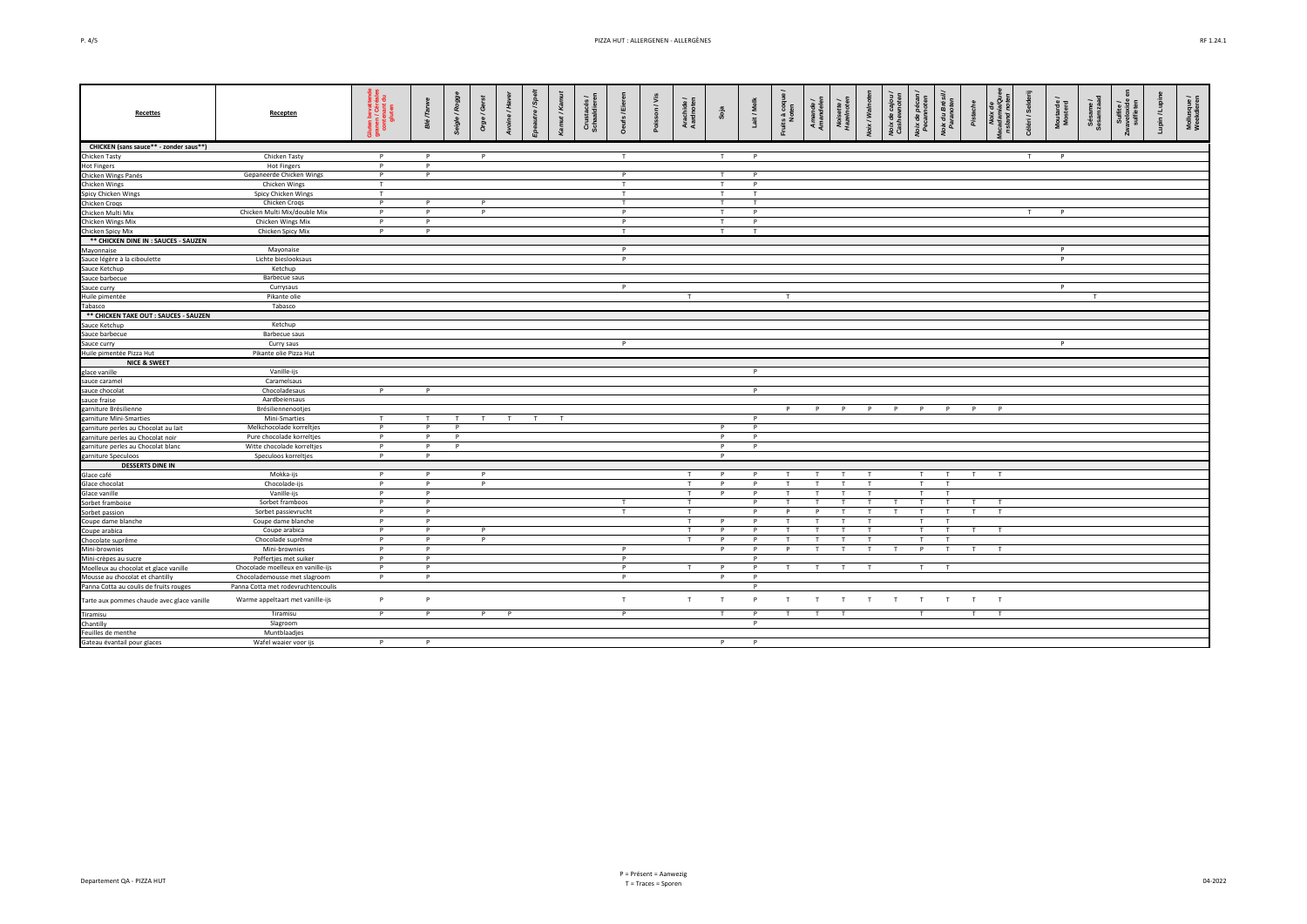|--|--|

| <b>Recettes</b>                            | Recepten                                  | 휾ᄛ<br>pevan<br>/ Céré<br>  Liten | Ē<br><b>Sig</b> | Seigle / Rogg | ලී<br><b>Drg</b> | $\ddot{x}$ | $\frac{5}{5}$ | ka | Crus<br>Scha | :/Eier<br>ă  | on / Vis<br>ă | Arachide /<br>Aardnoten | Soja   | Lait / Me      | ts à coque<br>Noten |              |                              | Voix / Walno | Voix de<br>Cashew | oix de pé<br>Pecanno | Noix du Br.<br>Paranote | Pistache     | uuarii<br>and i | Céléri / Selo | Moutarde<br>Mosterd | Sésame /<br>Sesamzaa | Sulfite /<br>weloxide<br>sulfiaten | Lupin/Lupi | Mollusque /<br>Weekdieren |
|--------------------------------------------|-------------------------------------------|----------------------------------|-----------------|---------------|------------------|------------|---------------|----|--------------|--------------|---------------|-------------------------|--------|----------------|---------------------|--------------|------------------------------|--------------|-------------------|----------------------|-------------------------|--------------|-----------------|---------------|---------------------|----------------------|------------------------------------|------------|---------------------------|
| CHICKEN (sans sauce** - zonder saus**)     |                                           |                                  |                 |               |                  |            |               |    |              |              |               |                         |        |                |                     |              |                              |              |                   |                      |                         |              |                 |               |                     |                      |                                    |            |                           |
| Chicken Tasty                              | Chicken Tasty                             | P                                | P               |               | P                |            |               |    |              | T            |               |                         | T      | P              |                     |              |                              |              |                   |                      |                         |              |                 | $\mathsf{T}$  | P                   |                      |                                    |            |                           |
| <b>Hot Fingers</b>                         | <b>Hot Fingers</b>                        | P                                | P               |               |                  |            |               |    |              |              |               |                         |        |                |                     |              |                              |              |                   |                      |                         |              |                 |               |                     |                      |                                    |            |                           |
| Chicken Wings Panés                        | Gepaneerde Chicken Wings                  | P                                | P               |               |                  |            |               |    |              | P            |               |                         | T      | P              |                     |              |                              |              |                   |                      |                         |              |                 |               |                     |                      |                                    |            |                           |
| Chicken Wings                              | Chicken Wings                             | T                                |                 |               |                  |            |               |    |              | T            |               |                         | T      | $\mathbf{D}$   |                     |              |                              |              |                   |                      |                         |              |                 |               |                     |                      |                                    |            |                           |
| Spicy Chicken Wings                        | Spicy Chicken Wings                       | T                                |                 |               |                  |            |               |    |              | T            |               |                         | T      | T              |                     |              |                              |              |                   |                      |                         |              |                 |               |                     |                      |                                    |            |                           |
| Chicken Croqs                              | Chicken Croqs                             | P.                               | P               |               | $\mathsf{P}$     |            |               |    |              | T            |               |                         | T      | T              |                     |              |                              |              |                   |                      |                         |              |                 |               |                     |                      |                                    |            |                           |
| Chicken Multi Mix                          | Chicken Multi Mix/double Mix              | P                                | P               |               | P                |            |               |    |              | P            |               |                         | T      | P              |                     |              |                              |              |                   |                      |                         |              |                 | T             | P                   |                      |                                    |            |                           |
| Chicken Wings Mix                          | Chicken Wings Mix                         | P                                | P               |               |                  |            |               |    |              | P            |               |                         | T      | P              |                     |              |                              |              |                   |                      |                         |              |                 |               |                     |                      |                                    |            |                           |
| Chicken Spicy Mix                          | Chicken Spicy Mix                         | P                                | P               |               |                  |            |               |    |              | T            |               |                         | T      | T              |                     |              |                              |              |                   |                      |                         |              |                 |               |                     |                      |                                    |            |                           |
| ** CHICKEN DINE IN : SAUCES - SAUZEN       |                                           |                                  |                 |               |                  |            |               |    |              |              |               |                         |        |                |                     |              |                              |              |                   |                      |                         |              |                 |               |                     |                      |                                    |            |                           |
| Mayonnaise                                 | Mayonaise                                 |                                  |                 |               |                  |            |               |    |              | P            |               |                         |        |                |                     |              |                              |              |                   |                      |                         |              |                 |               | P                   |                      |                                    |            |                           |
| Sauce légère à la ciboulette               | Lichte bieslooksaus                       |                                  |                 |               |                  |            |               |    |              | P            |               |                         |        |                |                     |              |                              |              |                   |                      |                         |              |                 |               | <b>P</b>            |                      |                                    |            |                           |
| Sauce Ketchup                              | Ketchup                                   |                                  |                 |               |                  |            |               |    |              |              |               |                         |        |                |                     |              |                              |              |                   |                      |                         |              |                 |               |                     |                      |                                    |            |                           |
| Sauce barbecue                             | <b>Barbecue</b> saus                      |                                  |                 |               |                  |            |               |    |              |              |               |                         |        |                |                     |              |                              |              |                   |                      |                         |              |                 |               |                     |                      |                                    |            |                           |
| Sauce curry                                | Currysaus                                 |                                  |                 |               |                  |            |               |    |              | P            |               |                         |        |                |                     |              |                              |              |                   |                      |                         |              |                 |               | P                   |                      |                                    |            |                           |
| Huile pimentée                             | Pikante olie                              |                                  |                 |               |                  |            |               |    |              |              |               | T                       |        |                | T                   |              |                              |              |                   |                      |                         |              |                 |               |                     | $\mathsf{T}$         |                                    |            |                           |
| Tabasco                                    | Tabasco                                   |                                  |                 |               |                  |            |               |    |              |              |               |                         |        |                |                     |              |                              |              |                   |                      |                         |              |                 |               |                     |                      |                                    |            |                           |
| ** CHICKEN TAKE OUT : SAUCES - SAUZEN      |                                           |                                  |                 |               |                  |            |               |    |              |              |               |                         |        |                |                     |              |                              |              |                   |                      |                         |              |                 |               |                     |                      |                                    |            |                           |
| Sauce Ketchup                              | Ketchup                                   |                                  |                 |               |                  |            |               |    |              |              |               |                         |        |                |                     |              |                              |              |                   |                      |                         |              |                 |               |                     |                      |                                    |            |                           |
| Sauce barbecue                             | <b>Barbecue saus</b>                      |                                  |                 |               |                  |            |               |    |              |              |               |                         |        |                |                     |              |                              |              |                   |                      |                         |              |                 |               |                     |                      |                                    |            |                           |
| Sauce curry                                | Curry saus                                |                                  |                 |               |                  |            |               |    |              | P            |               |                         |        |                |                     |              |                              |              |                   |                      |                         |              |                 |               | $\mathsf{P}$        |                      |                                    |            |                           |
| Huile pimentée Pizza Hut                   | Pikante olie Pizza Hut                    |                                  |                 |               |                  |            |               |    |              |              |               |                         |        |                |                     |              |                              |              |                   |                      |                         |              |                 |               |                     |                      |                                    |            |                           |
| <b>NICE &amp; SWEET</b>                    |                                           |                                  |                 |               |                  |            |               |    |              |              |               |                         |        |                |                     |              |                              |              |                   |                      |                         |              |                 |               |                     |                      |                                    |            |                           |
| glace vanille                              | Vanille-ijs                               |                                  |                 |               |                  |            |               |    |              |              |               |                         |        | P              |                     |              |                              |              |                   |                      |                         |              |                 |               |                     |                      |                                    |            |                           |
| sauce caramel                              | Caramelsaus                               |                                  |                 |               |                  |            |               |    |              |              |               |                         |        |                |                     |              |                              |              |                   |                      |                         |              |                 |               |                     |                      |                                    |            |                           |
| sauce chocolat                             | Chocoladesaus                             | P                                | P               |               |                  |            |               |    |              |              |               |                         |        | P              |                     |              |                              |              |                   |                      |                         |              |                 |               |                     |                      |                                    |            |                           |
| sauce fraise                               | Aardbeiensaus                             |                                  |                 |               |                  |            |               |    |              |              |               |                         |        |                |                     |              |                              |              |                   |                      |                         |              |                 |               |                     |                      |                                    |            |                           |
| garniture Brésilienne                      | Brésiliennenootjes                        |                                  |                 |               |                  |            |               |    |              |              |               |                         |        |                | P                   | P            | P                            | P            | P                 | P                    | P                       | P            | $\mathsf{P}$    |               |                     |                      |                                    |            |                           |
| garniture Mini-Smarties                    | Mini-Smarties                             | T                                | T               | T             | T                | T          | T             | T  |              |              |               |                         |        | P              |                     |              |                              |              |                   |                      |                         |              |                 |               |                     |                      |                                    |            |                           |
| garniture perles au Chocolat au lait       | Melkchocolade korreltjes                  | P                                | P               | P             |                  |            |               |    |              |              |               |                         | P      | P              |                     |              |                              |              |                   |                      |                         |              |                 |               |                     |                      |                                    |            |                           |
| garniture perles au Chocolat noir          | Pure chocolade korreltjes                 | P                                | P               | P             |                  |            |               |    |              |              |               |                         | P      | $\mathsf{P}$   |                     |              |                              |              |                   |                      |                         |              |                 |               |                     |                      |                                    |            |                           |
| garniture perles au Chocolat blanc         | Witte chocolade korreltjes                | P.                               | P               | P             |                  |            |               |    |              |              |               |                         | P      | P              |                     |              |                              |              |                   |                      |                         |              |                 |               |                     |                      |                                    |            |                           |
| garniture Speculoos                        | Speculoos korreltjes                      | P                                | P               |               |                  |            |               |    |              |              |               |                         | P      |                |                     |              |                              |              |                   |                      |                         |              |                 |               |                     |                      |                                    |            |                           |
| <b>DESSERTS DINE IN</b>                    |                                           |                                  |                 |               |                  |            |               |    |              |              |               |                         |        |                |                     |              |                              |              |                   |                      |                         |              |                 |               |                     |                      |                                    |            |                           |
| Glace café                                 | Mokka-ijs                                 | P<br>P                           | P               |               | P                |            |               |    |              |              |               | T                       | P<br>P | P<br>P         |                     | $\mathbf{r}$ | $\mathsf{T}$<br>$\mathbf{r}$ | T<br>T       |                   | T<br>T               | T<br>$\mathbf{r}$       | T            | T               |               |                     |                      |                                    |            |                           |
| Glace chocolat                             | Chocolade-ijs<br>Vanille-ijs              | <b>P</b>                         | P<br>P          |               | P                |            |               |    |              |              |               | T<br>T                  | P      | $\overline{D}$ |                     |              |                              |              |                   | $\mathbf{r}$         | . т                     |              |                 |               |                     |                      |                                    |            |                           |
| Glace vanille                              |                                           | P                                | P               |               |                  |            |               |    |              | T            |               | T                       |        | P              |                     |              | т                            | T.           |                   | T                    | T                       | $\mathsf{T}$ | T               |               |                     |                      |                                    |            |                           |
| Sorbet framboise                           | Sorbet framboos                           |                                  | P               |               |                  |            |               |    |              |              |               |                         |        | P              | P                   |              |                              |              |                   | $\mathsf{T}$         | т                       | $\mathsf{T}$ | T               |               |                     |                      |                                    |            |                           |
| Sorbet passion<br>Coupe dame blanche       | Sorbet passievrucht<br>Coupe dame blanche | P<br>P                           | P               |               |                  |            |               |    |              | T            |               | T<br>T                  | P      | $\mathsf{P}$   |                     |              | $\mathbf{I}$                 | T            |                   | $\mathbf \tau$       | $\mathbf{r}$            |              |                 |               |                     |                      |                                    |            |                           |
| Coupe arabica                              | Coupe arabica                             | P                                | P               |               | $\mathsf{P}$     |            |               |    |              |              |               |                         | P      | P              |                     |              |                              |              |                   |                      |                         |              |                 |               |                     |                      |                                    |            |                           |
| Chocolate suprême                          | Chocolade suprême                         | P.                               | P               |               | P                |            |               |    |              |              |               | T                       | P      | $\mathsf{P}$   |                     |              |                              | T            |                   | $\mathbf{r}$         |                         |              |                 |               |                     |                      |                                    |            |                           |
| Mini-brownies                              | Mini-brownies                             | P                                | P               |               |                  |            |               |    |              | P            |               |                         | P      | $\mathsf{P}$   | P                   | T            | T                            | T            | T                 | P                    | $\mathsf{T}$            | T            | T               |               |                     |                      |                                    |            |                           |
| Mini-crèpes au sucre                       | Poffertjes met suiker                     | P                                | P               |               |                  |            |               |    |              | P            |               |                         |        | P              |                     |              |                              |              |                   |                      |                         |              |                 |               |                     |                      |                                    |            |                           |
| Moelleux au chocolat et glace vanille      | Chocolade moelleux en vanille-ijs         | P                                | P               |               |                  |            |               |    |              | P            |               | T                       | P      | P              |                     | T            | T                            | T            |                   | T.                   | T                       |              |                 |               |                     |                      |                                    |            |                           |
| Mousse au chocolat et chantilly            | Chocolademousse met slagroom              | P                                | P               |               |                  |            |               |    |              | P            |               |                         | P      | P              |                     |              |                              |              |                   |                      |                         |              |                 |               |                     |                      |                                    |            |                           |
| Panna Cotta au coulis de fruits rouges     | Panna Cotta met rodevruchtencoulis        |                                  |                 |               |                  |            |               |    |              |              |               |                         |        | P              |                     |              |                              |              |                   |                      |                         |              |                 |               |                     |                      |                                    |            |                           |
| Tarte aux pommes chaude avec glace vanille | Warme appeltaart met vanille-ijs          | P.                               | P               |               |                  |            |               |    |              | T            |               | T                       | T      | $\mathsf{P}$   | T                   | T            | $\mathsf{T}$                 | T            | T                 | T                    | T                       | T            | T               |               |                     |                      |                                    |            |                           |
| Tiramisu                                   | Tiramisu                                  | P.                               | P               |               | P                | P          |               |    |              | $\mathsf{P}$ |               |                         | T      | P              |                     |              | $\mathbf{r}$                 |              |                   | T.                   |                         | $\mathsf{T}$ | T               |               |                     |                      |                                    |            |                           |
| Chantilly                                  | Slagroom                                  |                                  |                 |               |                  |            |               |    |              |              |               |                         |        | $\mathsf{P}$   |                     |              |                              |              |                   |                      |                         |              |                 |               |                     |                      |                                    |            |                           |
| Feuilles de menthe                         | Muntblaadjes                              |                                  |                 |               |                  |            |               |    |              |              |               |                         |        |                |                     |              |                              |              |                   |                      |                         |              |                 |               |                     |                      |                                    |            |                           |
| Gateau évantail pour glaces                | Wafel waaier voor ijs                     | P                                | P               |               |                  |            |               |    |              |              |               |                         | P      | $\mathsf{P}$   |                     |              |                              |              |                   |                      |                         |              |                 |               |                     |                      |                                    |            |                           |
|                                            |                                           |                                  |                 |               |                  |            |               |    |              |              |               |                         |        |                |                     |              |                              |              |                   |                      |                         |              |                 |               |                     |                      |                                    |            |                           |